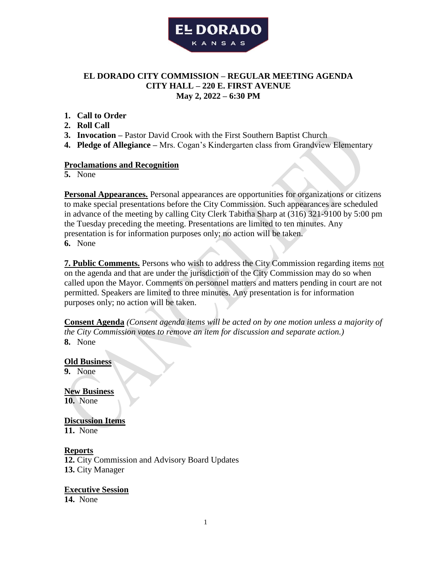

# **EL DORADO CITY COMMISSION – REGULAR MEETING AGENDA CITY HALL – 220 E. FIRST AVENUE May 2, 2022 – 6:30 PM**

- **1. Call to Order**
- **2. Roll Call**
- **3. Invocation –** Pastor David Crook with the First Southern Baptist Church
- **4. Pledge of Allegiance –** Mrs. Cogan's Kindergarten class from Grandview Elementary

#### **Proclamations and Recognition**

**5.** None

**Personal Appearances.** Personal appearances are opportunities for organizations or citizens to make special presentations before the City Commission. Such appearances are scheduled in advance of the meeting by calling City Clerk Tabitha Sharp at (316) 321-9100 by 5:00 pm the Tuesday preceding the meeting. Presentations are limited to ten minutes. Any presentation is for information purposes only; no action will be taken. **6.** None

**7. Public Comments.** Persons who wish to address the City Commission regarding items not on the agenda and that are under the jurisdiction of the City Commission may do so when called upon the Mayor. Comments on personnel matters and matters pending in court are not permitted. Speakers are limited to three minutes. Any presentation is for information purposes only; no action will be taken.

**Consent Agenda** *(Consent agenda items will be acted on by one motion unless a majority of the City Commission votes to remove an item for discussion and separate action.)* **8.** None

**Old Business 9.** None

**New Business 10.** None

**Discussion Items 11.** None

#### **Reports**

**12.** City Commission and Advisory Board Updates **13.** City Manager

**Executive Session**

**14.** None